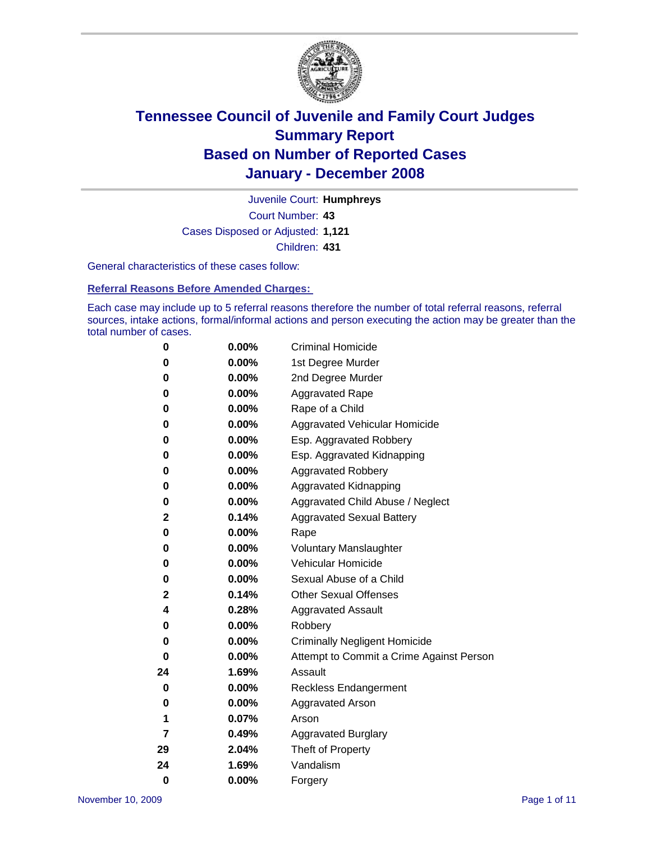

Court Number: **43** Juvenile Court: **Humphreys** Cases Disposed or Adjusted: **1,121** Children: **431**

General characteristics of these cases follow:

**Referral Reasons Before Amended Charges:** 

Each case may include up to 5 referral reasons therefore the number of total referral reasons, referral sources, intake actions, formal/informal actions and person executing the action may be greater than the total number of cases.

| 0        | 0.00%    | <b>Criminal Homicide</b>                 |
|----------|----------|------------------------------------------|
| 0        | 0.00%    | 1st Degree Murder                        |
| 0        | $0.00\%$ | 2nd Degree Murder                        |
| 0        | 0.00%    | <b>Aggravated Rape</b>                   |
| 0        | 0.00%    | Rape of a Child                          |
| 0        | 0.00%    | Aggravated Vehicular Homicide            |
| 0        | 0.00%    | Esp. Aggravated Robbery                  |
| 0        | 0.00%    | Esp. Aggravated Kidnapping               |
| 0        | 0.00%    | <b>Aggravated Robbery</b>                |
| 0        | 0.00%    | Aggravated Kidnapping                    |
| 0        | 0.00%    | Aggravated Child Abuse / Neglect         |
| 2        | 0.14%    | <b>Aggravated Sexual Battery</b>         |
| 0        | 0.00%    | Rape                                     |
| 0        | 0.00%    | <b>Voluntary Manslaughter</b>            |
| 0        | 0.00%    | Vehicular Homicide                       |
| 0        | 0.00%    | Sexual Abuse of a Child                  |
| 2        | 0.14%    | <b>Other Sexual Offenses</b>             |
| 4        | 0.28%    | <b>Aggravated Assault</b>                |
| 0        | $0.00\%$ | Robbery                                  |
| 0        | 0.00%    | <b>Criminally Negligent Homicide</b>     |
| 0        | 0.00%    | Attempt to Commit a Crime Against Person |
| 24       | 1.69%    | Assault                                  |
| 0        | 0.00%    | <b>Reckless Endangerment</b>             |
| 0        | $0.00\%$ | Aggravated Arson                         |
| 1        | 0.07%    | Arson                                    |
| 7        | 0.49%    | <b>Aggravated Burglary</b>               |
| 29       | 2.04%    | Theft of Property                        |
| 24       | 1.69%    | Vandalism                                |
| $\bf{0}$ | 0.00%    | Forgery                                  |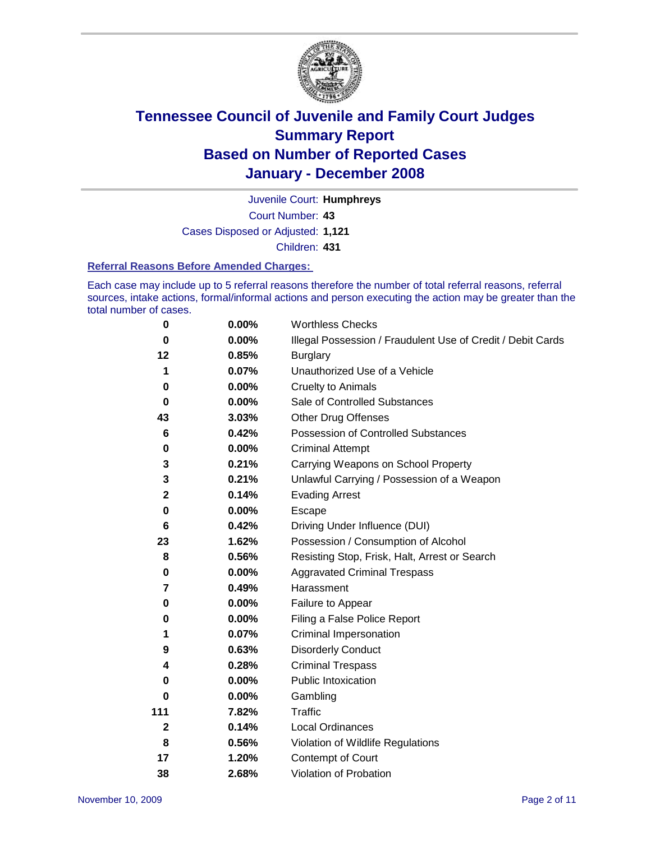

Court Number: **43** Juvenile Court: **Humphreys** Cases Disposed or Adjusted: **1,121** Children: **431**

#### **Referral Reasons Before Amended Charges:**

Each case may include up to 5 referral reasons therefore the number of total referral reasons, referral sources, intake actions, formal/informal actions and person executing the action may be greater than the total number of cases.

| 0            | 0.00%    | <b>Worthless Checks</b>                                     |
|--------------|----------|-------------------------------------------------------------|
| $\bf{0}$     | $0.00\%$ | Illegal Possession / Fraudulent Use of Credit / Debit Cards |
| 12           | 0.85%    | <b>Burglary</b>                                             |
| 1            | 0.07%    | Unauthorized Use of a Vehicle                               |
| 0            | $0.00\%$ | <b>Cruelty to Animals</b>                                   |
| $\bf{0}$     | 0.00%    | Sale of Controlled Substances                               |
| 43           | 3.03%    | <b>Other Drug Offenses</b>                                  |
| 6            | 0.42%    | Possession of Controlled Substances                         |
| $\pmb{0}$    | $0.00\%$ | <b>Criminal Attempt</b>                                     |
| 3            | 0.21%    | Carrying Weapons on School Property                         |
| 3            | 0.21%    | Unlawful Carrying / Possession of a Weapon                  |
| $\mathbf{2}$ | 0.14%    | <b>Evading Arrest</b>                                       |
| 0            | 0.00%    | Escape                                                      |
| 6            | 0.42%    | Driving Under Influence (DUI)                               |
| 23           | 1.62%    | Possession / Consumption of Alcohol                         |
| 8            | 0.56%    | Resisting Stop, Frisk, Halt, Arrest or Search               |
| 0            | 0.00%    | <b>Aggravated Criminal Trespass</b>                         |
| 7            | 0.49%    | Harassment                                                  |
| 0            | 0.00%    | Failure to Appear                                           |
| 0            | 0.00%    | Filing a False Police Report                                |
| 1            | 0.07%    | Criminal Impersonation                                      |
| 9            | 0.63%    | <b>Disorderly Conduct</b>                                   |
| 4            | 0.28%    | <b>Criminal Trespass</b>                                    |
| 0            | 0.00%    | <b>Public Intoxication</b>                                  |
| 0            | 0.00%    | Gambling                                                    |
| 111          | 7.82%    | <b>Traffic</b>                                              |
| $\mathbf 2$  | 0.14%    | Local Ordinances                                            |
| 8            | 0.56%    | Violation of Wildlife Regulations                           |
| 17           | 1.20%    | <b>Contempt of Court</b>                                    |
| 38           | 2.68%    | Violation of Probation                                      |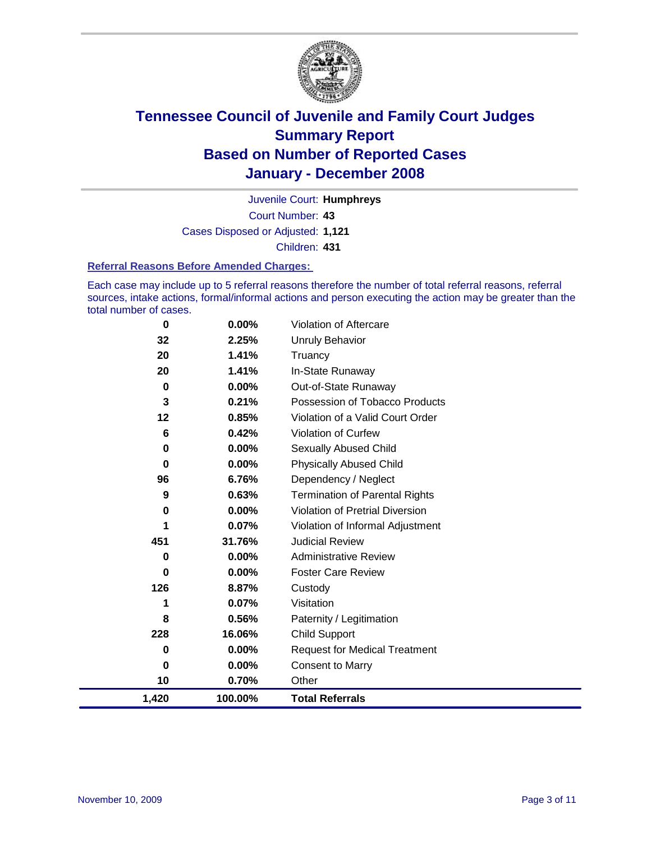

Court Number: **43** Juvenile Court: **Humphreys** Cases Disposed or Adjusted: **1,121** Children: **431**

#### **Referral Reasons Before Amended Charges:**

Each case may include up to 5 referral reasons therefore the number of total referral reasons, referral sources, intake actions, formal/informal actions and person executing the action may be greater than the total number of cases.

| 0     | 0.00%    | Violation of Aftercare                 |
|-------|----------|----------------------------------------|
| 32    | 2.25%    | <b>Unruly Behavior</b>                 |
| 20    | 1.41%    | Truancy                                |
| 20    | 1.41%    | In-State Runaway                       |
| 0     | 0.00%    | Out-of-State Runaway                   |
| 3     | 0.21%    | Possession of Tobacco Products         |
| 12    | 0.85%    | Violation of a Valid Court Order       |
| 6     | 0.42%    | Violation of Curfew                    |
| 0     | 0.00%    | <b>Sexually Abused Child</b>           |
| 0     | 0.00%    | <b>Physically Abused Child</b>         |
| 96    | 6.76%    | Dependency / Neglect                   |
| 9     | 0.63%    | <b>Termination of Parental Rights</b>  |
| 0     | $0.00\%$ | <b>Violation of Pretrial Diversion</b> |
| 1     | 0.07%    | Violation of Informal Adjustment       |
| 451   | 31.76%   | <b>Judicial Review</b>                 |
| 0     | 0.00%    | <b>Administrative Review</b>           |
| 0     | 0.00%    | <b>Foster Care Review</b>              |
| 126   | 8.87%    | Custody                                |
| 1     | 0.07%    | Visitation                             |
| 8     | 0.56%    | Paternity / Legitimation               |
| 228   | 16.06%   | <b>Child Support</b>                   |
| 0     | 0.00%    | <b>Request for Medical Treatment</b>   |
| 0     | 0.00%    | <b>Consent to Marry</b>                |
| 10    | 0.70%    | Other                                  |
| 1,420 | 100.00%  | <b>Total Referrals</b>                 |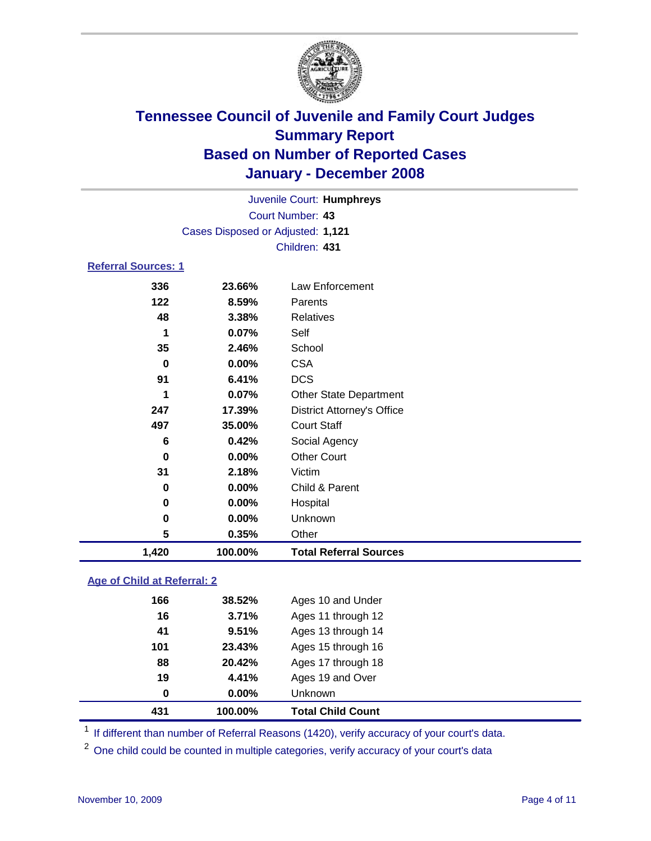

Court Number: **43** Juvenile Court: **Humphreys** Cases Disposed or Adjusted: **1,121** Children: **431**

### **Referral Sources: 1**

| 336      | 23.66%  | Law Enforcement                   |
|----------|---------|-----------------------------------|
| 122      | 8.59%   | Parents                           |
| 48       | 3.38%   | <b>Relatives</b>                  |
| 1        | 0.07%   | Self                              |
| 35       | 2.46%   | School                            |
| $\bf{0}$ | 0.00%   | <b>CSA</b>                        |
| 91       | 6.41%   | <b>DCS</b>                        |
| 1        | 0.07%   | <b>Other State Department</b>     |
| 247      | 17.39%  | <b>District Attorney's Office</b> |
| 497      | 35.00%  | <b>Court Staff</b>                |
| 6        | 0.42%   | Social Agency                     |
| 0        | 0.00%   | <b>Other Court</b>                |
| 31       | 2.18%   | Victim                            |
| 0        | 0.00%   | Child & Parent                    |
| 0        | 0.00%   | Hospital                          |
| 0        | 0.00%   | Unknown                           |
| 5        | 0.35%   | Other                             |
| 1,420    | 100.00% | <b>Total Referral Sources</b>     |

### **Age of Child at Referral: 2**

| 431 | 100.00%  | <b>Total Child Count</b> |  |
|-----|----------|--------------------------|--|
| 0   | $0.00\%$ | <b>Unknown</b>           |  |
| 19  | 4.41%    | Ages 19 and Over         |  |
| 88  | 20.42%   | Ages 17 through 18       |  |
| 101 | 23.43%   | Ages 15 through 16       |  |
| 41  | 9.51%    | Ages 13 through 14       |  |
| 16  | 3.71%    | Ages 11 through 12       |  |
| 166 | 38.52%   | Ages 10 and Under        |  |
|     |          |                          |  |

<sup>1</sup> If different than number of Referral Reasons (1420), verify accuracy of your court's data.

<sup>2</sup> One child could be counted in multiple categories, verify accuracy of your court's data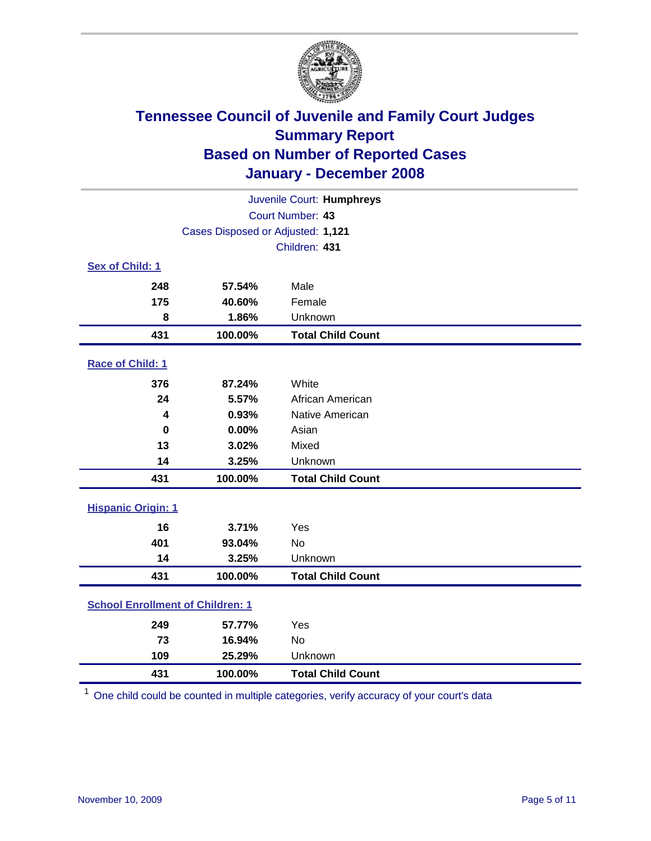

| Juvenile Court: Humphreys               |                                   |                          |  |  |  |
|-----------------------------------------|-----------------------------------|--------------------------|--|--|--|
| Court Number: 43                        |                                   |                          |  |  |  |
|                                         | Cases Disposed or Adjusted: 1,121 |                          |  |  |  |
|                                         |                                   | Children: 431            |  |  |  |
| Sex of Child: 1                         |                                   |                          |  |  |  |
| 248                                     | 57.54%                            | Male                     |  |  |  |
| 175                                     | 40.60%                            | Female                   |  |  |  |
| 8                                       | 1.86%                             | Unknown                  |  |  |  |
| 431                                     | 100.00%                           | <b>Total Child Count</b> |  |  |  |
| Race of Child: 1                        |                                   |                          |  |  |  |
| 376                                     | 87.24%                            | White                    |  |  |  |
| 24                                      | 5.57%                             | African American         |  |  |  |
| 4                                       | 0.93%                             | Native American          |  |  |  |
| $\bf{0}$                                | 0.00%                             | Asian                    |  |  |  |
| 13                                      | 3.02%                             | Mixed                    |  |  |  |
| 14                                      | 3.25%                             | Unknown                  |  |  |  |
| 431                                     | 100.00%                           | <b>Total Child Count</b> |  |  |  |
| <b>Hispanic Origin: 1</b>               |                                   |                          |  |  |  |
| 16                                      | 3.71%                             | Yes                      |  |  |  |
| 401                                     | 93.04%                            | <b>No</b>                |  |  |  |
| 14                                      | 3.25%                             | Unknown                  |  |  |  |
| 431                                     | 100.00%                           | <b>Total Child Count</b> |  |  |  |
| <b>School Enrollment of Children: 1</b> |                                   |                          |  |  |  |
| 249                                     | 57.77%                            | Yes                      |  |  |  |
| 73                                      | 16.94%                            | No                       |  |  |  |
| 109                                     | 25.29%                            | Unknown                  |  |  |  |
| 431                                     | 100.00%                           | <b>Total Child Count</b> |  |  |  |

One child could be counted in multiple categories, verify accuracy of your court's data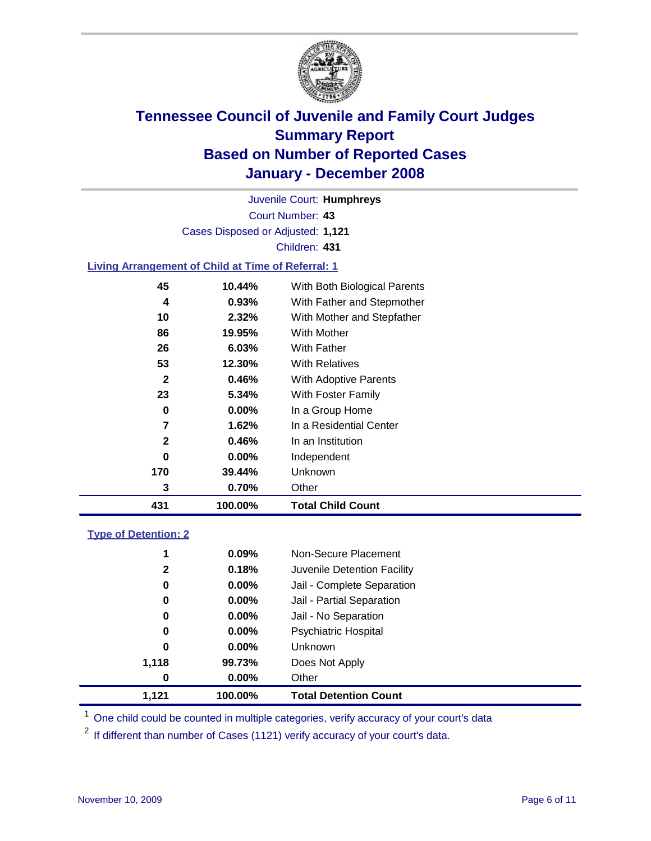

Court Number: **43** Juvenile Court: **Humphreys** Cases Disposed or Adjusted: **1,121** Children: **431**

#### **Living Arrangement of Child at Time of Referral: 1**

| 431          | 100.00%  | <b>Total Child Count</b>     |
|--------------|----------|------------------------------|
| 3            | 0.70%    | Other                        |
| 170          | 39.44%   | Unknown                      |
| 0            | $0.00\%$ | Independent                  |
| $\mathbf{2}$ | 0.46%    | In an Institution            |
| 7            | 1.62%    | In a Residential Center      |
| 0            | $0.00\%$ | In a Group Home              |
| 23           | 5.34%    | With Foster Family           |
| $\mathbf{2}$ | 0.46%    | <b>With Adoptive Parents</b> |
| 53           | 12.30%   | <b>With Relatives</b>        |
| 26           | 6.03%    | With Father                  |
| 86           | 19.95%   | With Mother                  |
| 10           | 2.32%    | With Mother and Stepfather   |
| 4            | 0.93%    | With Father and Stepmother   |
| 45           | 10.44%   | With Both Biological Parents |
|              |          |                              |

#### **Type of Detention: 2**

| 1,121        | 100.00%  | <b>Total Detention Count</b> |
|--------------|----------|------------------------------|
| 0            | $0.00\%$ | Other                        |
| 1,118        | 99.73%   | Does Not Apply               |
| 0            | $0.00\%$ | <b>Unknown</b>               |
| 0            | 0.00%    | Psychiatric Hospital         |
| 0            | 0.00%    | Jail - No Separation         |
| 0            | $0.00\%$ | Jail - Partial Separation    |
| 0            | $0.00\%$ | Jail - Complete Separation   |
| $\mathbf{2}$ | 0.18%    | Juvenile Detention Facility  |
| 1            | 0.09%    | Non-Secure Placement         |
|              |          |                              |

<sup>1</sup> One child could be counted in multiple categories, verify accuracy of your court's data

<sup>2</sup> If different than number of Cases (1121) verify accuracy of your court's data.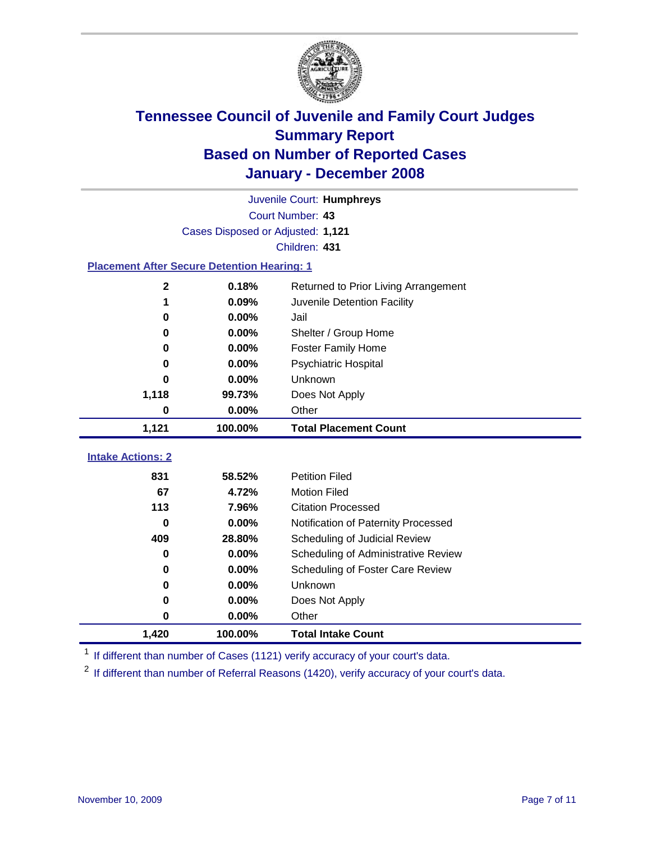

|                                                    | Juvenile Court: Humphreys         |                                      |  |  |  |
|----------------------------------------------------|-----------------------------------|--------------------------------------|--|--|--|
|                                                    | Court Number: 43                  |                                      |  |  |  |
|                                                    | Cases Disposed or Adjusted: 1,121 |                                      |  |  |  |
|                                                    |                                   | Children: 431                        |  |  |  |
| <b>Placement After Secure Detention Hearing: 1</b> |                                   |                                      |  |  |  |
| $\mathbf 2$                                        | 0.18%                             | Returned to Prior Living Arrangement |  |  |  |
| 1                                                  | 0.09%                             | Juvenile Detention Facility          |  |  |  |
| $\bf{0}$                                           | 0.00%                             | Jail                                 |  |  |  |
| 0                                                  | 0.00%                             | Shelter / Group Home                 |  |  |  |
| $\bf{0}$                                           | 0.00%                             | Foster Family Home                   |  |  |  |
| 0                                                  | 0.00%                             | Psychiatric Hospital                 |  |  |  |
| 0                                                  | 0.00%                             | Unknown                              |  |  |  |
| 1,118                                              | 99.73%                            | Does Not Apply                       |  |  |  |
| $\bf{0}$                                           | 0.00%                             | Other                                |  |  |  |
| 1,121                                              | 100.00%                           | <b>Total Placement Count</b>         |  |  |  |
| <b>Intake Actions: 2</b>                           |                                   |                                      |  |  |  |
|                                                    |                                   |                                      |  |  |  |
| 831                                                | 58.52%                            | <b>Petition Filed</b>                |  |  |  |
| 67                                                 | 4.72%                             | <b>Motion Filed</b>                  |  |  |  |
| 113                                                | 7.96%                             | <b>Citation Processed</b>            |  |  |  |
| 0                                                  | 0.00%                             | Notification of Paternity Processed  |  |  |  |
| 409                                                | 28.80%                            | Scheduling of Judicial Review        |  |  |  |
| $\bf{0}$                                           | 0.00%                             | Scheduling of Administrative Review  |  |  |  |
| 0                                                  | 0.00%                             | Scheduling of Foster Care Review     |  |  |  |
| $\bf{0}$                                           | 0.00%                             | Unknown                              |  |  |  |
| $\bf{0}$                                           | 0.00%                             | Does Not Apply                       |  |  |  |
| 0                                                  | 0.00%                             | Other                                |  |  |  |
| 1,420                                              | 100.00%                           | <b>Total Intake Count</b>            |  |  |  |

<sup>1</sup> If different than number of Cases (1121) verify accuracy of your court's data.

<sup>2</sup> If different than number of Referral Reasons (1420), verify accuracy of your court's data.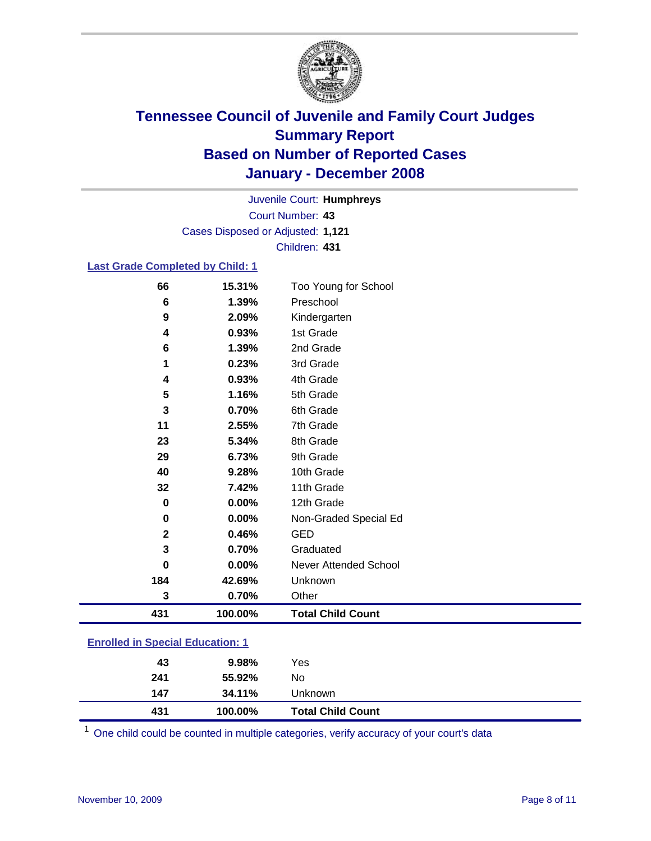

Court Number: **43** Juvenile Court: **Humphreys** Cases Disposed or Adjusted: **1,121** Children: **431**

### **Last Grade Completed by Child: 1**

| 66           | 15.31%  | Too Young for School     |
|--------------|---------|--------------------------|
| 6            | 1.39%   | Preschool                |
| 9            | 2.09%   | Kindergarten             |
| 4            | 0.93%   | 1st Grade                |
| 6            | 1.39%   | 2nd Grade                |
| 1            | 0.23%   | 3rd Grade                |
| 4            | 0.93%   | 4th Grade                |
| 5            | 1.16%   | 5th Grade                |
| 3            | 0.70%   | 6th Grade                |
| 11           | 2.55%   | 7th Grade                |
| 23           | 5.34%   | 8th Grade                |
| 29           | 6.73%   | 9th Grade                |
| 40           | 9.28%   | 10th Grade               |
| 32           | 7.42%   | 11th Grade               |
| 0            | 0.00%   | 12th Grade               |
| 0            | 0.00%   | Non-Graded Special Ed    |
| $\mathbf{2}$ | 0.46%   | <b>GED</b>               |
| 3            | 0.70%   | Graduated                |
| $\bf{0}$     | 0.00%   | Never Attended School    |
| 184          | 42.69%  | Unknown                  |
| 3            | 0.70%   | Other                    |
| 431          | 100.00% | <b>Total Child Count</b> |

### **Enrolled in Special Education: 1**

| 431 | 100.00%  | <b>Total Child Count</b> |
|-----|----------|--------------------------|
| 147 | 34.11%   | Unknown                  |
| 241 | 55.92%   | No                       |
| 43  | $9.98\%$ | Yes                      |
|     |          |                          |

<sup>1</sup> One child could be counted in multiple categories, verify accuracy of your court's data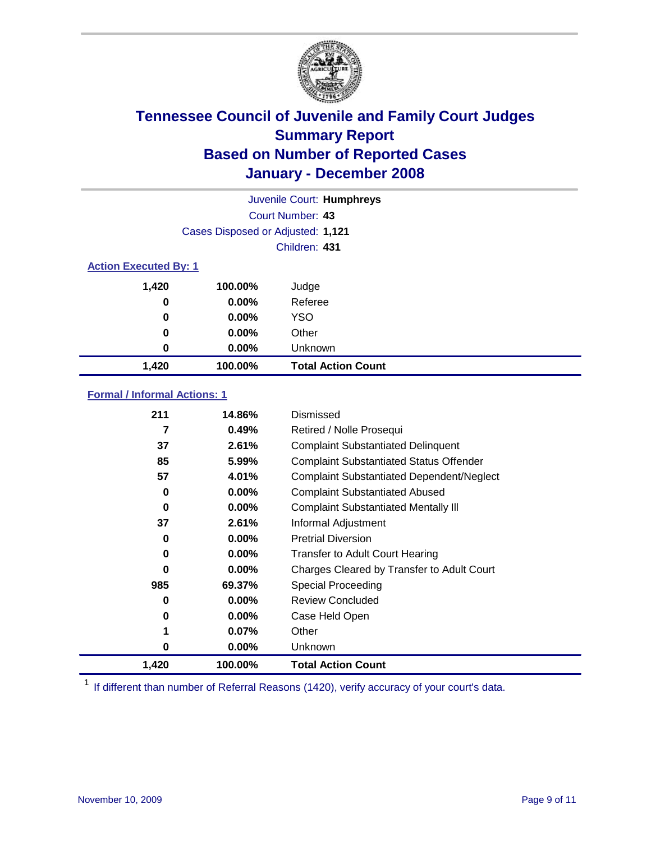

| Juvenile Court: Humphreys    |                                   |                           |  |  |  |
|------------------------------|-----------------------------------|---------------------------|--|--|--|
|                              | Court Number: 43                  |                           |  |  |  |
|                              | Cases Disposed or Adjusted: 1,121 |                           |  |  |  |
|                              |                                   | Children: 431             |  |  |  |
| <b>Action Executed By: 1</b> |                                   |                           |  |  |  |
| 1,420                        | 100.00%                           | Judge                     |  |  |  |
| 0                            | $0.00\%$                          | Referee                   |  |  |  |
| 0                            | $0.00\%$                          | <b>YSO</b>                |  |  |  |
| 0                            | $0.00\%$                          | Other                     |  |  |  |
| 0                            | $0.00\%$                          | Unknown                   |  |  |  |
| 1,420                        | 100.00%                           | <b>Total Action Count</b> |  |  |  |

### **Formal / Informal Actions: 1**

| 211   | 14.86%   | Dismissed                                        |
|-------|----------|--------------------------------------------------|
|       | 0.49%    | Retired / Nolle Prosequi                         |
| 37    | 2.61%    | <b>Complaint Substantiated Delinquent</b>        |
| 85    | $5.99\%$ | <b>Complaint Substantiated Status Offender</b>   |
| 57    | 4.01%    | <b>Complaint Substantiated Dependent/Neglect</b> |
| 0     | $0.00\%$ | <b>Complaint Substantiated Abused</b>            |
| 0     | $0.00\%$ | <b>Complaint Substantiated Mentally III</b>      |
| 37    | 2.61%    | Informal Adjustment                              |
| 0     | 0.00%    | <b>Pretrial Diversion</b>                        |
| 0     | 0.00%    | <b>Transfer to Adult Court Hearing</b>           |
| 0     | 0.00%    | Charges Cleared by Transfer to Adult Court       |
| 985   | 69.37%   | Special Proceeding                               |
| 0     | $0.00\%$ | <b>Review Concluded</b>                          |
| 0     | $0.00\%$ | Case Held Open                                   |
| 1     | 0.07%    | Other                                            |
| 0     | $0.00\%$ | <b>Unknown</b>                                   |
| 1,420 | 100.00%  | <b>Total Action Count</b>                        |

<sup>1</sup> If different than number of Referral Reasons (1420), verify accuracy of your court's data.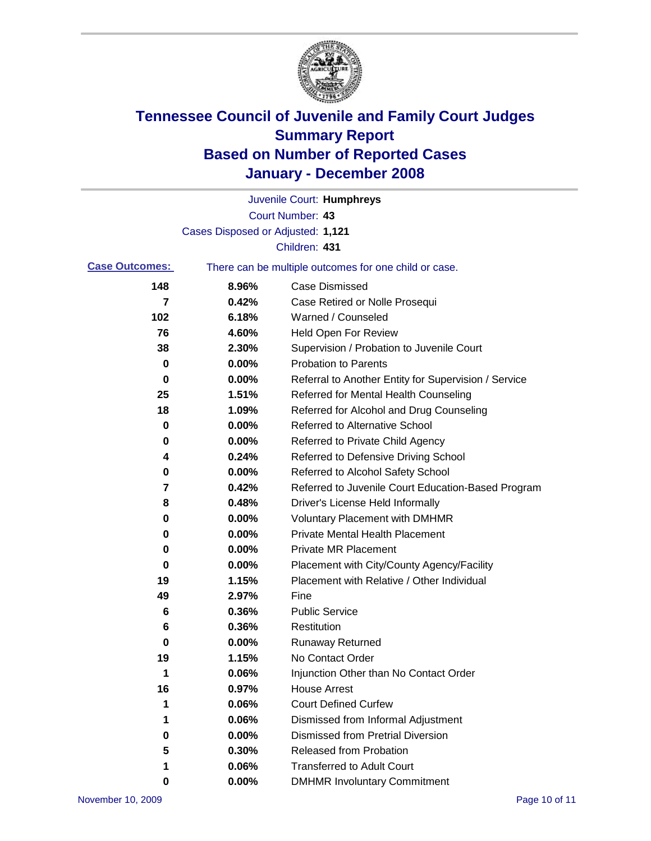

|                       |                                   | Juvenile Court: Humphreys                             |
|-----------------------|-----------------------------------|-------------------------------------------------------|
|                       |                                   | Court Number: 43                                      |
|                       | Cases Disposed or Adjusted: 1,121 |                                                       |
|                       |                                   | Children: 431                                         |
| <b>Case Outcomes:</b> |                                   | There can be multiple outcomes for one child or case. |
| 148                   | 8.96%                             | Case Dismissed                                        |
| 7                     | 0.42%                             | Case Retired or Nolle Prosequi                        |
| 102                   | 6.18%                             | Warned / Counseled                                    |
| 76                    | 4.60%                             | <b>Held Open For Review</b>                           |
| 38                    | 2.30%                             | Supervision / Probation to Juvenile Court             |
| 0                     | 0.00%                             | <b>Probation to Parents</b>                           |
| 0                     | 0.00%                             | Referral to Another Entity for Supervision / Service  |
| 25                    | 1.51%                             | Referred for Mental Health Counseling                 |
| 18                    | 1.09%                             | Referred for Alcohol and Drug Counseling              |
| 0                     | 0.00%                             | <b>Referred to Alternative School</b>                 |
| 0                     | 0.00%                             | Referred to Private Child Agency                      |
| 4                     | 0.24%                             | Referred to Defensive Driving School                  |
| 0                     | 0.00%                             | Referred to Alcohol Safety School                     |
| 7                     | 0.42%                             | Referred to Juvenile Court Education-Based Program    |
| 8                     | 0.48%                             | Driver's License Held Informally                      |
| 0                     | 0.00%                             | <b>Voluntary Placement with DMHMR</b>                 |
| 0                     | 0.00%                             | <b>Private Mental Health Placement</b>                |
| 0                     | 0.00%                             | <b>Private MR Placement</b>                           |
| 0                     | 0.00%                             | Placement with City/County Agency/Facility            |
| 19                    | 1.15%                             | Placement with Relative / Other Individual            |
| 49                    | 2.97%                             | Fine                                                  |
| 6                     | 0.36%                             | <b>Public Service</b>                                 |
| 6                     | 0.36%                             | Restitution                                           |
| 0                     | 0.00%                             | <b>Runaway Returned</b>                               |
| 19                    | 1.15%                             | No Contact Order                                      |
| 1                     | 0.06%                             | Injunction Other than No Contact Order                |
| 16                    | 0.97%                             | <b>House Arrest</b>                                   |
| 1                     | 0.06%                             | <b>Court Defined Curfew</b>                           |
| 1                     | 0.06%                             | Dismissed from Informal Adjustment                    |
| 0                     | $0.00\%$                          | <b>Dismissed from Pretrial Diversion</b>              |
| 5                     | 0.30%                             | <b>Released from Probation</b>                        |
| 1                     | 0.06%                             | <b>Transferred to Adult Court</b>                     |
| 0                     | $0.00\%$                          | <b>DMHMR Involuntary Commitment</b>                   |